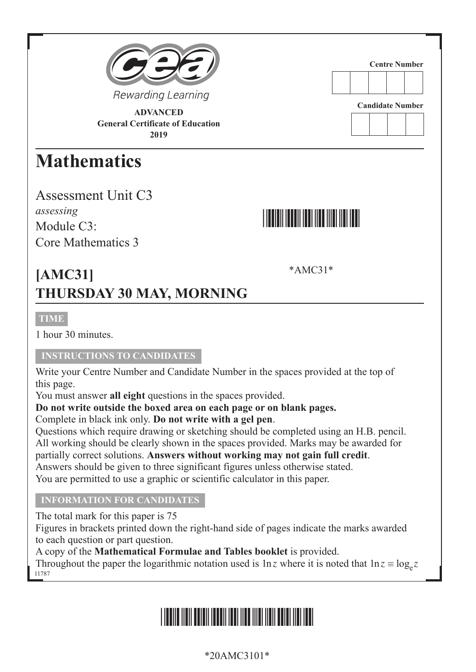

**ADVANCED General Certificate of Education 2019**

### **Mathematics**

Assessment Unit C3 *assessing* Module C<sub>3</sub>. Core Mathematics 3



**Centre Number**

**Candidate Number**

\*AMC31\*

### **[AMC31] THURSDAY 30 MAY, MORNING**

#### **TIME**

1 hour 30 minutes.

#### **INSTRUCTIONS TO CANDIDATES**

Write your Centre Number and Candidate Number in the spaces provided at the top of this page.

You must answer **all eight** questions in the spaces provided.

**Do not write outside the boxed area on each page or on blank pages.**

Complete in black ink only. **Do not write with a gel pen**.

Questions which require drawing or sketching should be completed using an H.B. pencil. All working should be clearly shown in the spaces provided. Marks may be awarded for partially correct solutions. **Answers without working may not gain full credit**. Answers should be given to three significant figures unless otherwise stated. You are permitted to use a graphic or scientific calculator in this paper.

#### **INFORMATION FOR CANDIDATES**

The total mark for this paper is 75

Figures in brackets printed down the right-hand side of pages indicate the marks awarded to each question or part question.

A copy of the **Mathematical Formulae and Tables booklet** is provided.

11787 Throughout the paper the logarithmic notation used is  $\ln z$  where it is noted that  $\ln z = \log_z z$ 

## \*20AMC3101\*

#### \*20AMC3101\*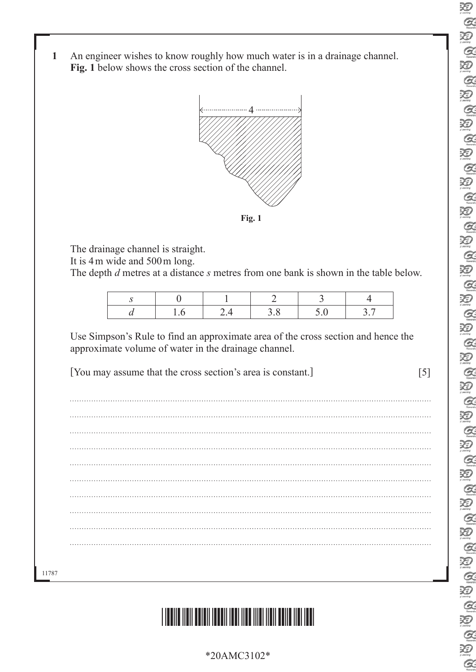- R  $Q$  $\sum_{\mu \text{ boundary}}$  $\alpha$ Q  $\alpha$ 汩  $\alpha$ Ð  $Q$ 汩  $Q$ Ð  $\alpha$ 泡  $\alpha$ 汩  $Q$ 泡  $\alpha$ 汩  $Q$ 汩  $\alpha$ 泡  $\alpha$ Ð  $Q$ Ð  $Q$  $\sum_{i \text{ century}}$  $\alpha$ 泡  $\alpha$ 泡  $\alpha$ Ð  $\alpha$ 迫  $\alpha$  $\sum_{i \in \text{conv}}$  $\alpha$  $\sum_{\text{locons}}$  $\mathcal{Q}$ Ð  $\alpha$
- **1** An engineer wishes to know roughly how much water is in a drainage channel. **Fig. 1** below shows the cross section of the channel.



The drainage channel is straight.

It is 4m wide and 500m long.

The depth *d* metres at a distance *s* metres from one bank is shown in the table below.

Use Simpson's Rule to find an approximate area of the cross section and hence the approximate volume of water in the drainage channel.

[You may assume that the cross section's area is constant.] [5]

11787



\*20AMC3102\*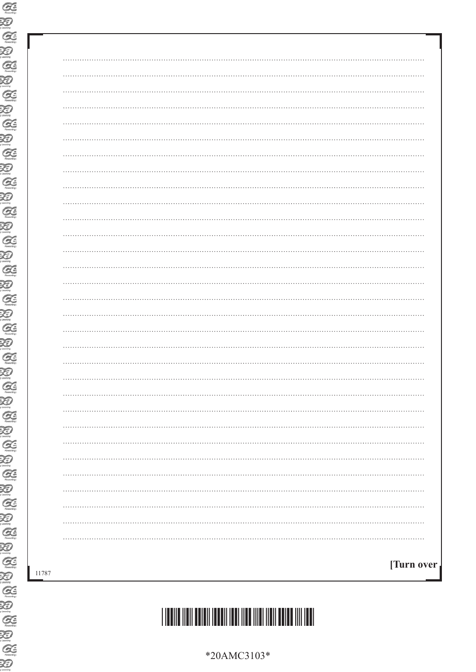| $\cdots$      |
|---------------|
|               |
|               |
| .<br>$\cdots$ |
|               |
|               |
| $\cdots$      |
|               |
|               |
|               |
|               |
|               |
| $\cdots$      |
|               |
| .<br>$\cdots$ |
|               |
|               |
| .<br>$\cdots$ |
|               |
|               |
|               |
|               |
|               |
|               |
|               |
|               |
|               |
|               |
| [Turn over    |
|               |

# \*20AMC3103\*

\*20AMC3103\*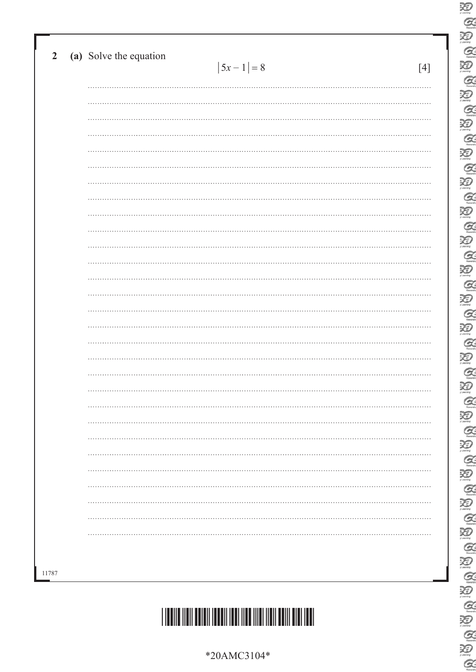| (a) Solve the equation<br>$ 5x - 1  = 8$ | [4] |
|------------------------------------------|-----|
|                                          |     |
|                                          |     |
|                                          |     |
|                                          |     |
|                                          |     |
|                                          |     |
|                                          |     |
|                                          |     |
|                                          |     |
|                                          |     |
|                                          |     |
|                                          |     |
|                                          |     |
|                                          |     |
|                                          |     |
|                                          |     |
|                                          |     |
|                                          |     |
|                                          |     |
|                                          |     |
|                                          |     |
|                                          |     |
|                                          |     |
|                                          |     |
|                                          |     |
|                                          |     |
|                                          |     |
|                                          |     |
|                                          |     |
|                                          |     |
|                                          |     |



\*20AMC3104\*

E 泡 E E  $\alpha$ 20<br>Q  $\sum_{n=1}^{\infty}$  $\alpha$ 迴  $\mathcal{Q}$ 20<br>Q  $\sum_{\text{mean}}$  $\alpha$  $\sum_{\text{norm}}$  $Q$  $\sum_{n \text{ terms}}$  $\alpha$  $\overline{\mathbf{X}}$  $Q$  $\begin{picture}(20,20) \put(0,0){\line(1,0){155}} \put(15,0){\line(1,0){155}} \put(15,0){\line(1,0){155}} \put(15,0){\line(1,0){155}} \put(15,0){\line(1,0){155}} \put(15,0){\line(1,0){155}} \put(15,0){\line(1,0){155}} \put(15,0){\line(1,0){155}} \put(15,0){\line(1,0){155}} \put(15,0){\line(1,0){155}} \put(15,0){\line(1,0){155}} \$ 酒  $\alpha$ 迴 E<br>E **BABA** E<br>E  $\frac{1}{2}$  $\alpha$ 

E<br>C

 $\overline{\mathcal{Z}}$  $\alpha$  $\sum_{\text{learning}}$  $\alpha$  $\sum_{i \text{learning}}$  $\alpha$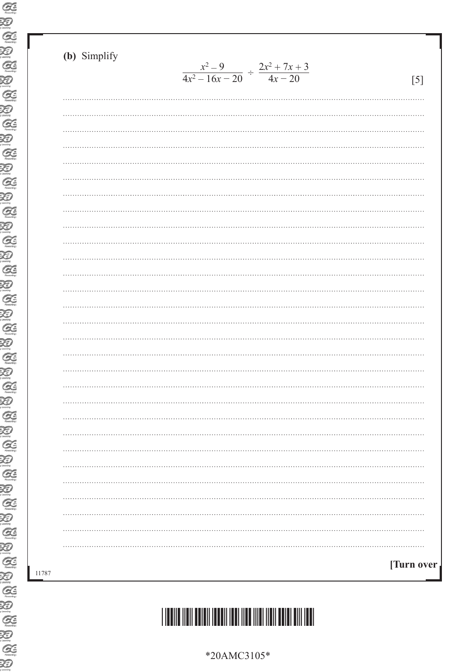11787

| (b) Simplify |                                                          |            |
|--------------|----------------------------------------------------------|------------|
|              | $\frac{x^2-9}{4x^2-16x-20} \div \frac{2x^2+7x+3}{4x-20}$ | [5]        |
|              |                                                          |            |
|              |                                                          |            |
|              |                                                          |            |
|              |                                                          |            |
|              |                                                          |            |
|              |                                                          |            |
|              |                                                          |            |
|              |                                                          |            |
|              |                                                          |            |
|              |                                                          |            |
|              |                                                          |            |
|              |                                                          |            |
|              |                                                          |            |
|              |                                                          |            |
|              |                                                          |            |
|              |                                                          |            |
|              |                                                          |            |
|              |                                                          |            |
|              |                                                          |            |
|              |                                                          |            |
|              |                                                          |            |
|              |                                                          |            |
|              |                                                          |            |
|              |                                                          |            |
|              |                                                          |            |
|              |                                                          |            |
|              |                                                          |            |
|              |                                                          |            |
|              |                                                          |            |
|              |                                                          | [Turn over |
|              |                                                          |            |

\*20AMC3105\*

# \*20AMC3105\*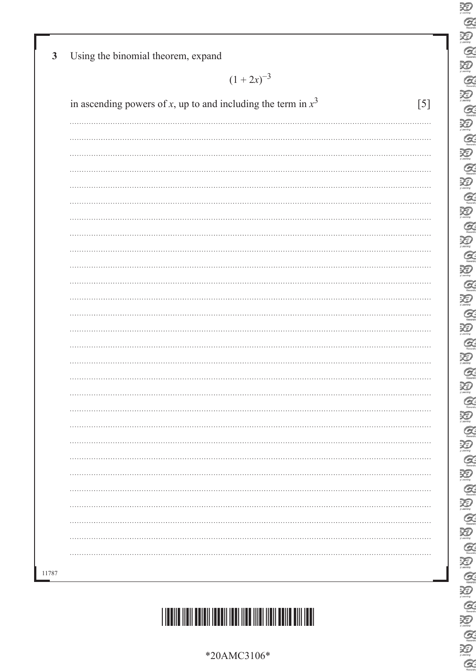| *20AMC3106* |
|-------------|
|-------------|



| $(1 + 2x)^{-3}$                                                        |
|------------------------------------------------------------------------|
| in ascending powers of x, up to and including the term in $x^3$<br>[5] |
|                                                                        |
|                                                                        |
|                                                                        |
|                                                                        |
|                                                                        |
|                                                                        |
|                                                                        |
|                                                                        |
|                                                                        |
|                                                                        |
|                                                                        |
|                                                                        |
|                                                                        |
|                                                                        |
|                                                                        |
|                                                                        |
|                                                                        |
|                                                                        |
|                                                                        |
|                                                                        |
|                                                                        |
|                                                                        |
|                                                                        |
|                                                                        |
|                                                                        |
|                                                                        |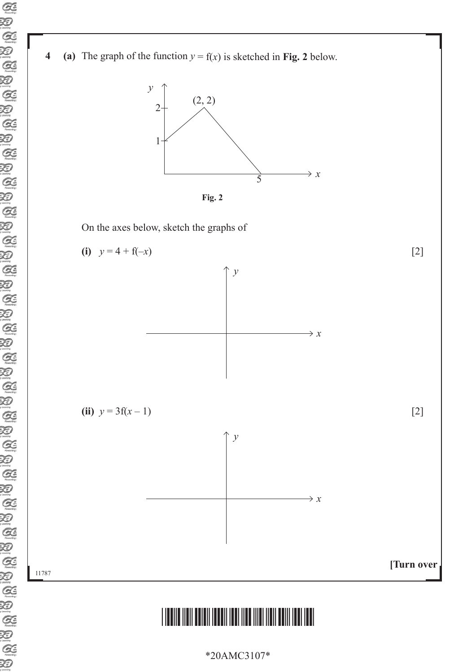





On the axes below, sketch the graphs of



\*20AMC3107\*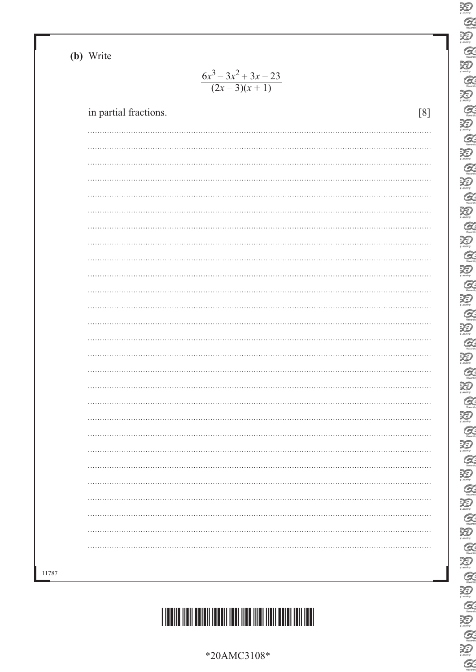**(b)** Write

11787

#### $6x^3 - 3x^2 + 3x - 23$  $(2x-3)(x+1)$

| in partial fractions. | [8]        |
|-----------------------|------------|
| .<br>$\cdots$         |            |
|                       |            |
|                       |            |
| $\cdots$              |            |
|                       |            |
|                       |            |
| $\cdots$              |            |
|                       |            |
| $\cdots$              |            |
| $\cdots$              |            |
|                       |            |
| $\cdots$              |            |
|                       |            |
|                       |            |
| .                     |            |
|                       |            |
|                       |            |
| $\cdots$<br>.         | . <b>.</b> |
|                       |            |
|                       | . <b>.</b> |
|                       |            |
|                       |            |
|                       |            |
|                       |            |
|                       |            |



|   | X)                                  |
|---|-------------------------------------|
|   | 19009000000000000000000000          |
|   |                                     |
|   |                                     |
|   |                                     |
|   |                                     |
|   |                                     |
|   |                                     |
| I |                                     |
|   |                                     |
|   |                                     |
|   |                                     |
|   |                                     |
|   |                                     |
|   |                                     |
|   |                                     |
|   |                                     |
|   |                                     |
|   |                                     |
|   |                                     |
|   |                                     |
|   | OS (B)                              |
|   |                                     |
|   | Sig Big                             |
|   |                                     |
|   |                                     |
|   | Q                                   |
|   | XI)<br>1. anim                      |
|   |                                     |
|   |                                     |
|   |                                     |
|   |                                     |
|   |                                     |
|   |                                     |
|   |                                     |
|   |                                     |
|   |                                     |
|   |                                     |
|   |                                     |
|   | ថៃ (ស ថៃ ស ថៃ ស ថៃ ស ថៃ ស ថៃ ស ថៃ ស |
|   |                                     |
|   |                                     |
|   |                                     |
|   | GB<br>B<br>G                        |
|   |                                     |

20

\*20AMC3108\*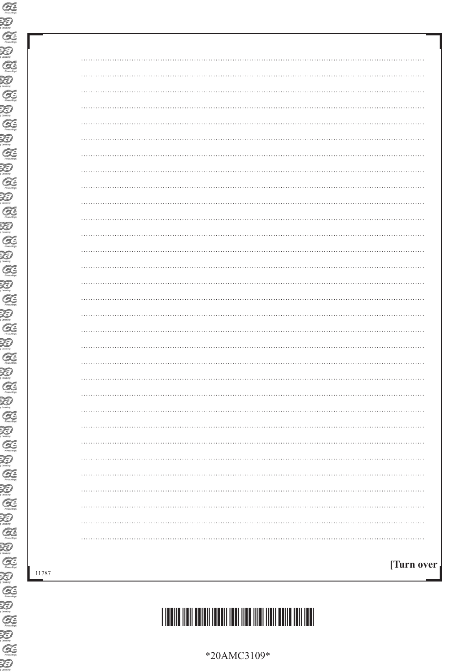| $\cdots$    |
|-------------|
|             |
| .           |
|             |
|             |
| .           |
|             |
|             |
| .           |
|             |
|             |
| .           |
|             |
|             |
| .           |
|             |
|             |
| .           |
|             |
|             |
| .           |
|             |
|             |
|             |
|             |
|             |
|             |
|             |
|             |
|             |
|             |
| [Turn over] |
|             |

# \*20AMC3109\*

\*20AMC3109\*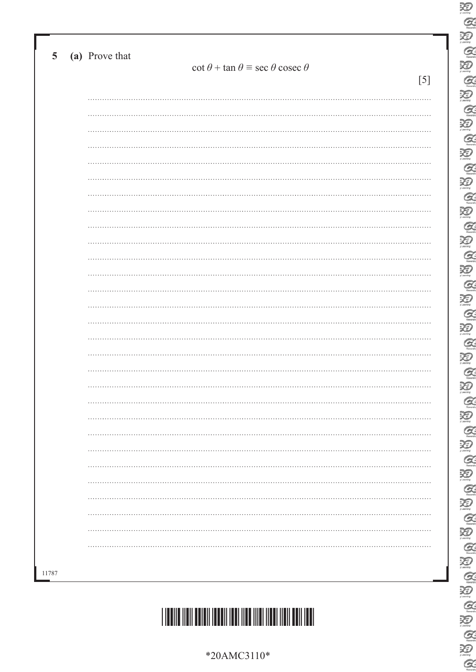| $\cot \theta + \tan \theta \equiv \sec \theta \csc \theta$<br>[5] |
|-------------------------------------------------------------------|
| .                                                                 |
|                                                                   |
|                                                                   |
|                                                                   |
|                                                                   |
|                                                                   |
|                                                                   |
|                                                                   |
|                                                                   |
|                                                                   |
|                                                                   |
|                                                                   |
|                                                                   |
|                                                                   |
|                                                                   |
|                                                                   |
|                                                                   |
|                                                                   |
|                                                                   |
|                                                                   |
|                                                                   |
|                                                                   |
|                                                                   |
|                                                                   |
|                                                                   |
|                                                                   |
|                                                                   |
|                                                                   |
|                                                                   |
|                                                                   |
|                                                                   |
|                                                                   |

E<br>C

 $\overline{\mathcal{Z}}$  $\alpha$  $\sum_{\text{learning}}$  $\alpha$  $\sum_{i \text{learning}}$  $\alpha$ 

E

泡

E E

 $\alpha$ 

20<br>Q

 $\sum_{n=1}^{\infty}$  $\alpha$ 迴  $\mathcal{Q}$ 

20<br>Q

 $\sum_{\text{mean}}$  $\alpha$  $\sum_{\text{norm}}$  $\alpha$  $\sum_{n \text{ terms}}$  $\alpha$  $\sum_{\text{learning}}$  $\alpha$  $\sum_{\text{learning}}$  $\alpha$ 酒  $\mathcal{Q}$ 迴

E<br>E

R & R

 $\sum_{n=1}^\infty$ 

E<br>E

 $\frac{1}{2}$ 

 $\alpha$ 

\*20AMC3110\*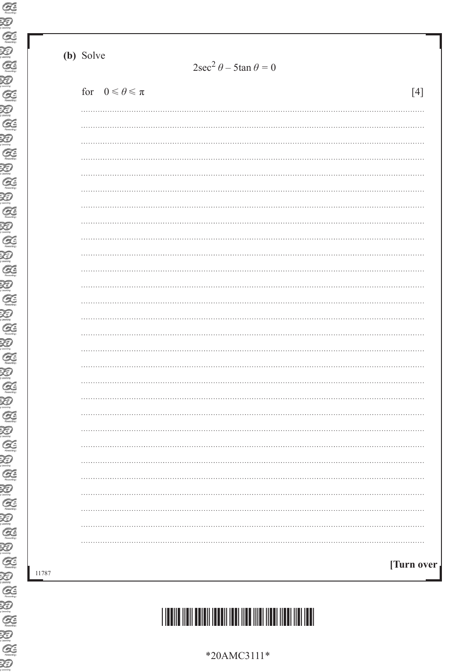(b) Solve

|  | for $0 \le \theta \le \pi$ |  | $[4]$      |
|--|----------------------------|--|------------|
|  |                            |  |            |
|  |                            |  |            |
|  |                            |  |            |
|  |                            |  |            |
|  |                            |  |            |
|  |                            |  |            |
|  |                            |  |            |
|  |                            |  |            |
|  |                            |  |            |
|  |                            |  |            |
|  |                            |  |            |
|  |                            |  |            |
|  |                            |  |            |
|  |                            |  |            |
|  |                            |  |            |
|  |                            |  |            |
|  |                            |  |            |
|  |                            |  |            |
|  |                            |  |            |
|  |                            |  |            |
|  |                            |  |            |
|  |                            |  |            |
|  |                            |  |            |
|  |                            |  |            |
|  |                            |  |            |
|  |                            |  |            |
|  |                            |  |            |
|  |                            |  |            |
|  |                            |  | [Turn over |

 $\sim$ 

# 

\*20AMC3111\*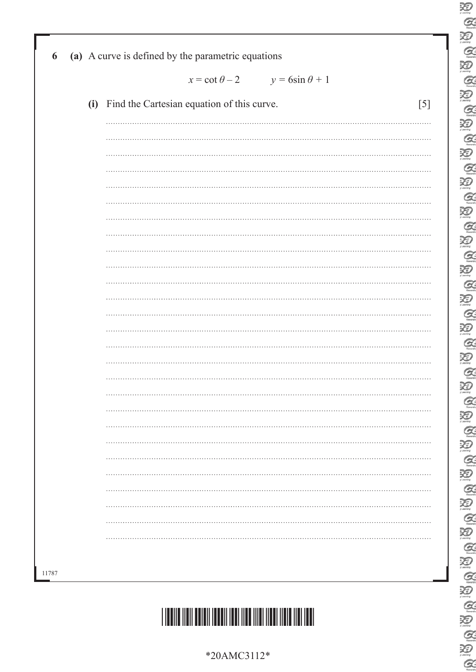|       | $x = \cot \theta - 2$ $y = 6\sin \theta + 1$                       |
|-------|--------------------------------------------------------------------|
|       | (i) Find the Cartesian equation of this curve.<br>$\left[5\right]$ |
|       |                                                                    |
|       |                                                                    |
|       |                                                                    |
|       |                                                                    |
|       |                                                                    |
|       |                                                                    |
|       |                                                                    |
|       |                                                                    |
|       |                                                                    |
|       |                                                                    |
|       |                                                                    |
|       |                                                                    |
|       |                                                                    |
|       |                                                                    |
|       |                                                                    |
|       |                                                                    |
|       |                                                                    |
|       |                                                                    |
| 11787 |                                                                    |

E<br>C

 $\overline{\mathcal{Z}}$  $\alpha$  $\sum_{\text{learning}}$  $\alpha$  $\sum_{i \text{learning}}$  $\alpha$ 

E

 $\sum_{n=1}^{\infty}$ 

E<br>E

 $\alpha$ 

20<br>Q

E

20

E<br>E

E

 $\sum_{\text{norm}}$  $\alpha$  $\sum_{n \text{ terms}}$  $\alpha$  $\sum_{\text{learning}}$  $\alpha$ 

E

酒  $\mathcal{Q}$ 迴

E<br>E

B A B A B A

 $Q$ 



\*20AMC3112\*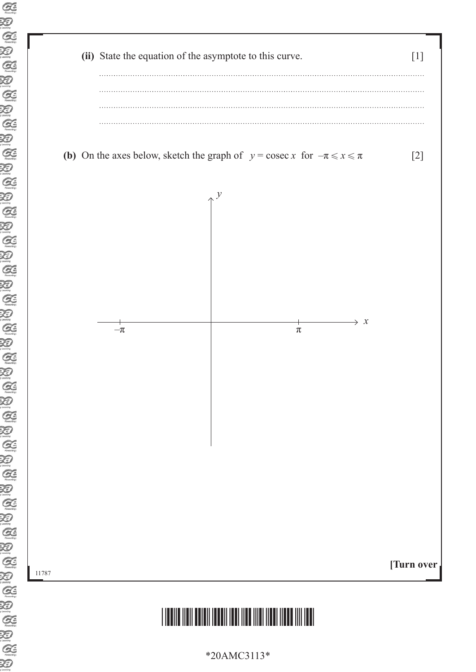

\*20AMC3113\*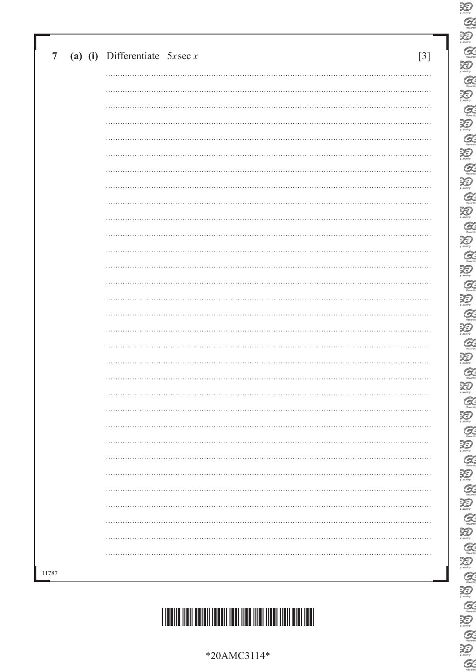|       | $\overline{7}$ |  | (a) (i) Differentiate $5x\sec x$ | $[3]$ |
|-------|----------------|--|----------------------------------|-------|
|       |                |  |                                  |       |
|       |                |  |                                  |       |
|       |                |  |                                  |       |
|       |                |  |                                  |       |
|       |                |  |                                  |       |
|       |                |  |                                  |       |
|       |                |  |                                  |       |
|       |                |  |                                  |       |
|       |                |  |                                  |       |
|       |                |  |                                  |       |
|       |                |  |                                  |       |
|       |                |  |                                  |       |
|       |                |  |                                  |       |
|       |                |  |                                  |       |
|       |                |  |                                  |       |
|       |                |  |                                  |       |
|       |                |  |                                  |       |
|       |                |  |                                  |       |
|       |                |  |                                  |       |
|       |                |  |                                  |       |
|       |                |  |                                  |       |
|       |                |  |                                  |       |
|       |                |  |                                  |       |
|       |                |  |                                  |       |
|       |                |  |                                  |       |
|       |                |  |                                  |       |
|       |                |  |                                  |       |
|       |                |  |                                  |       |
| 11787 |                |  |                                  |       |
|       |                |  |                                  |       |

E<br>C  $\overline{\mathcal{Z}}$ E<br>E  $\alpha$ 20 **QUEQUE AUGAU AUGAUGAU**  $\alpha$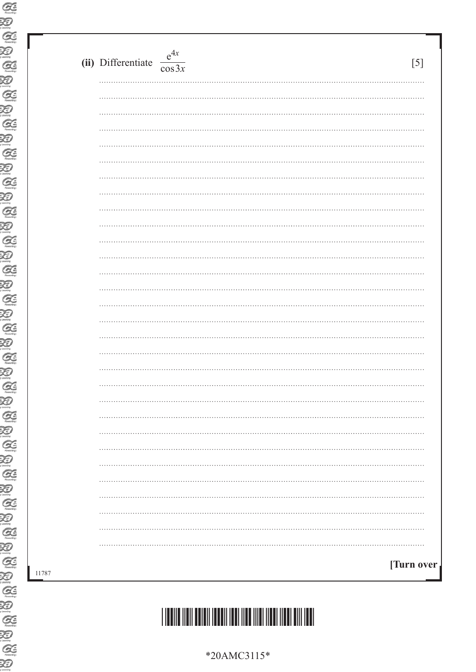| (ii) Differentiate $\frac{e^{4x}}{\cos 3x}$ | $[5]$       |
|---------------------------------------------|-------------|
|                                             |             |
|                                             |             |
|                                             |             |
|                                             |             |
|                                             |             |
|                                             |             |
|                                             |             |
|                                             |             |
|                                             |             |
|                                             |             |
|                                             |             |
|                                             |             |
|                                             |             |
|                                             |             |
|                                             |             |
|                                             |             |
|                                             |             |
|                                             |             |
|                                             |             |
| .                                           | .           |
|                                             |             |
|                                             |             |
|                                             |             |
|                                             |             |
|                                             |             |
|                                             |             |
|                                             |             |
|                                             |             |
|                                             |             |
|                                             | [Turn over] |



\*20AMC3115\*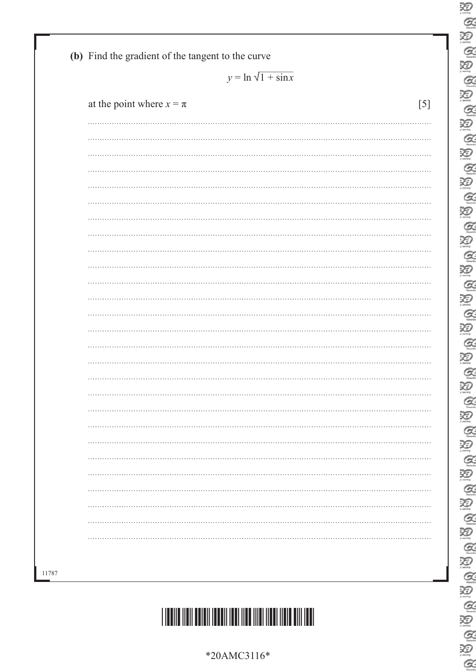

|                              | $y = \ln \sqrt{1 + \sin x}$ |
|------------------------------|-----------------------------|
| at the point where $x = \pi$ |                             |
|                              |                             |
|                              |                             |
|                              |                             |
|                              |                             |
|                              |                             |
|                              |                             |
|                              |                             |
|                              |                             |
|                              |                             |
|                              |                             |
|                              |                             |
|                              |                             |
|                              |                             |
|                              |                             |
|                              |                             |
|                              |                             |
|                              |                             |
|                              |                             |
|                              |                             |
|                              |                             |
|                              |                             |
|                              |                             |
|                              |                             |
|                              |                             |
|                              |                             |
|                              |                             |
|                              |                             |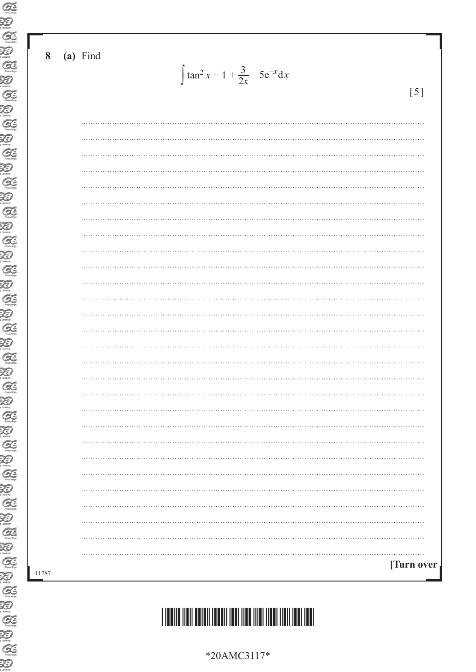#### **8 (a)** Find

 $\int \tan^2 x + 1 + \frac{3}{2x} - 5e^{-x} dx$ 

[5]

| [Turn over |
|------------|
|            |
|            |
|            |
|            |
|            |
|            |
|            |
|            |
|            |
|            |
|            |
|            |
|            |
|            |
|            |
|            |
|            |
|            |
|            |
|            |
|            |
|            |
|            |
|            |
|            |
|            |

11787

\*20AMC3117\*

## \*20AMC3117\*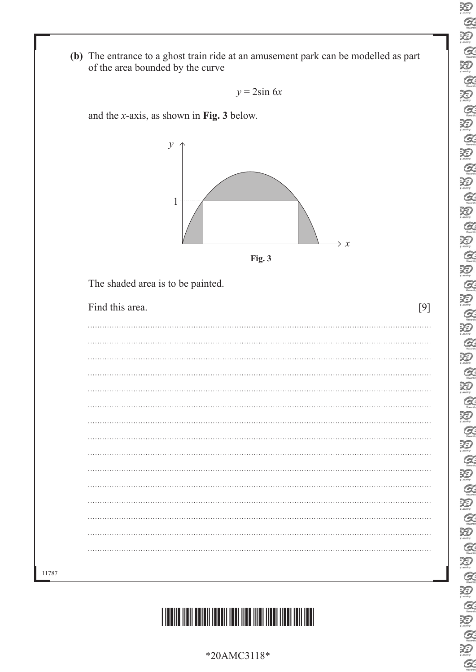**(b)** The entrance to a ghost train ride at an amusement park can be modelled as part of the area bounded by the curve

```
y = 2\sin 6x
```
and the *x*-axis, as shown in **Fig. 3** below.



| ×<br>٧ | ۰.<br>× |
|--------|---------|
|--------|---------|

The shaded area is to be painted.

| Find this area. | [9] |
|-----------------|-----|
|                 |     |
|                 |     |
|                 |     |
|                 |     |
|                 |     |
|                 |     |
|                 |     |
|                 |     |
|                 |     |
|                 |     |
|                 |     |
|                 |     |
|                 |     |
| $\cdots$        |     |
|                 |     |
|                 |     |



|                 | л   |
|-----------------|-----|
|                 |     |
|                 |     |
|                 |     |
|                 |     |
|                 |     |
|                 |     |
|                 |     |
|                 |     |
|                 |     |
|                 |     |
| $\rightarrow x$ |     |
|                 |     |
|                 |     |
|                 |     |
|                 | [9] |
|                 |     |
|                 |     |
|                 |     |
|                 |     |
|                 |     |
|                 |     |
|                 |     |
|                 |     |
|                 |     |
|                 |     |
|                 |     |
|                 |     |
|                 |     |
|                 |     |
|                 |     |
|                 |     |
|                 |     |
|                 |     |
|                 |     |
|                 |     |

11787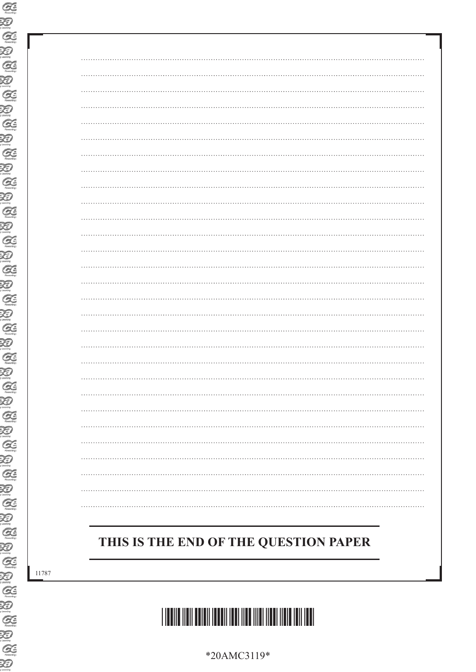### **THIS IS THE END OF THE QUESTION PAPER**

11787



\*20AMC3119\*